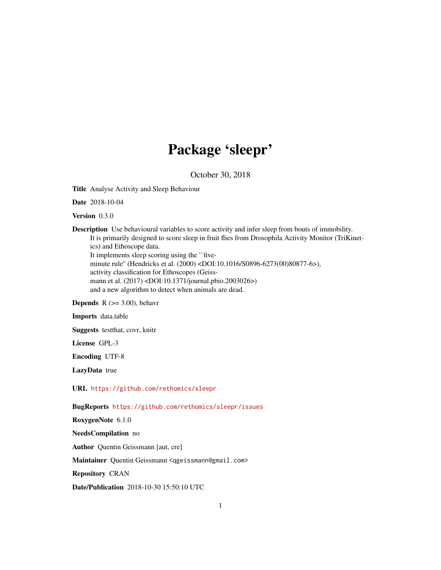## Package 'sleepr'

October 30, 2018

<span id="page-0-0"></span>Title Analyse Activity and Sleep Behaviour

Date 2018-10-04

Version 0.3.0

Description Use behavioural variables to score activity and infer sleep from bouts of immobility. It is primarily designed to score sleep in fruit flies from Drosophila Activity Monitor (TriKinetics) and Ethoscope data. It implements sleep scoring using the ``fiveminute rule'' (Hendricks et al. (2000) <DOI:10.1016/S0896-6273(00)80877-6>), activity classification for Ethoscopes (Geiss-

mann et al. (2017) <DOI:10.1371/journal.pbio.2003026>)

and a new algorithm to detect when animals are dead.

**Depends** R  $(>= 3.00)$ , behavr

Imports data.table

Suggests testthat, covr, knitr

License GPL-3

Encoding UTF-8

LazyData true

URL <https://github.com/rethomics/sleepr>

BugReports <https://github.com/rethomics/sleepr/issues>

RoxygenNote 6.1.0

NeedsCompilation no

Author Quentin Geissmann [aut, cre]

Maintainer Quentin Geissmann <qgeissmann@gmail.com>

Repository CRAN

Date/Publication 2018-10-30 15:50:10 UTC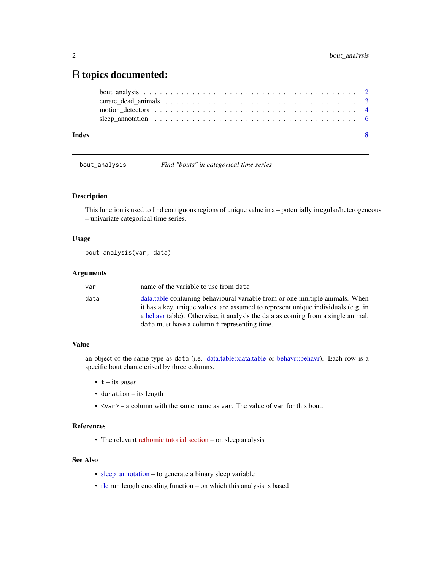## <span id="page-1-0"></span>R topics documented:

| Index | - 8                                                                                                    |
|-------|--------------------------------------------------------------------------------------------------------|
|       | sleep annotation $\ldots \ldots \ldots \ldots \ldots \ldots \ldots \ldots \ldots \ldots \ldots \ldots$ |
|       |                                                                                                        |
|       |                                                                                                        |
|       |                                                                                                        |

<span id="page-1-1"></span>

bout\_analysis *Find "bouts" in categorical time series*

#### Description

This function is used to find contiguous regions of unique value in a – potentially irregular/heterogeneous – univariate categorical time series.

#### Usage

```
bout_analysis(var, data)
```
#### Arguments

| var  | name of the variable to use from data                                                                                                                                                                                                                                                                   |
|------|---------------------------------------------------------------------------------------------------------------------------------------------------------------------------------------------------------------------------------------------------------------------------------------------------------|
| data | data, table containing behavioural variable from or one multiple animals. When<br>it has a key, unique values, are assumed to represent unique individuals (e.g. in<br>a behave table). Otherwise, it analysis the data as coming from a single animal.<br>data must have a column t representing time. |
|      |                                                                                                                                                                                                                                                                                                         |

#### Value

an object of the same type as data (i.e. [data.table::data.table](#page-0-0) or [behavr::behavr\)](#page-0-0). Each row is a specific bout characterised by three columns.

- t its *onset*
- duration its length
- <var> a column with the same name as var. The value of var for this bout.

#### References

• The relevant [rethomic tutorial section](https://rethomics.github.io/sleepr) – on sleep analysis

#### See Also

- [sleep\\_annotation](#page-5-1) to generate a binary sleep variable
- [rle](#page-0-0) run length encoding function on which this analysis is based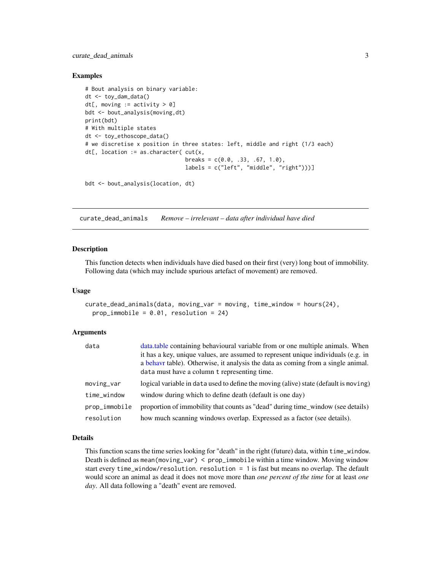<span id="page-2-0"></span>curate\_dead\_animals 3

#### Examples

```
# Bout analysis on binary variable:
dt <- toy_dam_data()
dt[, moving := activity > 0]
bdt <- bout_analysis(moving,dt)
print(bdt)
# With multiple states
dt <- toy_ethoscope_data()
# we discretise x position in three states: left, middle and right (1/3 each)
dt[, location := as.character( cut(x,
                               breaks = c(0.0, .33, .67, 1.0),
                               labels = c("left", "middle", "right")))]
```
bdt <- bout\_analysis(location, dt)

curate\_dead\_animals *Remove – irrelevant – data after individual have died*

#### Description

This function detects when individuals have died based on their first (very) long bout of immobility. Following data (which may include spurious artefact of movement) are removed.

#### Usage

```
curate_dead_animals(data, moving_var = moving, time_window = hours(24),
 prop\_immobile = 0.01, resolution = 24)
```
#### Arguments

| data          | data.table containing behavioural variable from or one multiple animals. When<br>it has a key, unique values, are assumed to represent unique individuals (e.g. in<br>a behave table). Otherwise, it analysis the data as coming from a single animal.<br>data must have a column t representing time. |
|---------------|--------------------------------------------------------------------------------------------------------------------------------------------------------------------------------------------------------------------------------------------------------------------------------------------------------|
| moving_var    | logical variable in data used to define the moving (alive) state (default is moving)                                                                                                                                                                                                                   |
| time_window   | window during which to define death (default is one day)                                                                                                                                                                                                                                               |
| prop_immobile | proportion of immobility that counts as "dead" during time_window (see details)                                                                                                                                                                                                                        |
| resolution    | how much scanning windows overlap. Expressed as a factor (see details).                                                                                                                                                                                                                                |

#### Details

This function scans the time series looking for "death" in the right (future) data, within time\_window. Death is defined as mean(moving\_var) < prop\_immobile within a time window. Moving window start every time\_window/resolution. resolution = 1 is fast but means no overlap. The default would score an animal as dead it does not move more than *one percent of the time* for at least *one day*. All data following a "death" event are removed.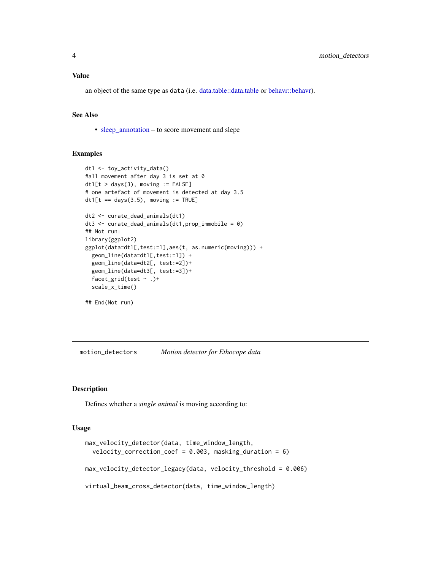<span id="page-3-0"></span>an object of the same type as data (i.e. [data.table::data.table](#page-0-0) or [behavr::behavr\)](#page-0-0).

#### See Also

• [sleep\\_annotation](#page-5-1) – to score movement and slepe

#### Examples

```
dt1 <- toy_activity_data()
#all movement after day 3 is set at 0
dt1[t > days(3), moving := FALSE]
# one artefact of movement is detected at day 3.5
dt1[t == days(3.5), moving := TRUE]dt2 <- curate_dead_animals(dt1)
dt3 <- curate_dead_animals(dt1,prop_immobile = 0)
## Not run:
library(ggplot2)
ggplot(data=dt1[,test:=1],aes(t, as.numeric(moving))) +
  geom_line(data=dt1[,test:=1]) +
  geom_line(data=dt2[, test:=2])+
  geom_line(data=dt3[, test:=3])+
  facet_grid(test \sim .)+
  scale_x_time()
## End(Not run)
```
<span id="page-3-2"></span>motion\_detectors *Motion detector for Ethocope data*

#### <span id="page-3-1"></span>Description

Defines whether a *single animal* is moving according to:

#### Usage

```
max_velocity_detector(data, time_window_length,
  velocity_correction_coef = 0.003, masking_duration = 6)
max_velocity_detector_legacy(data, velocity_threshold = 0.006)
virtual_beam_cross_detector(data, time_window_length)
```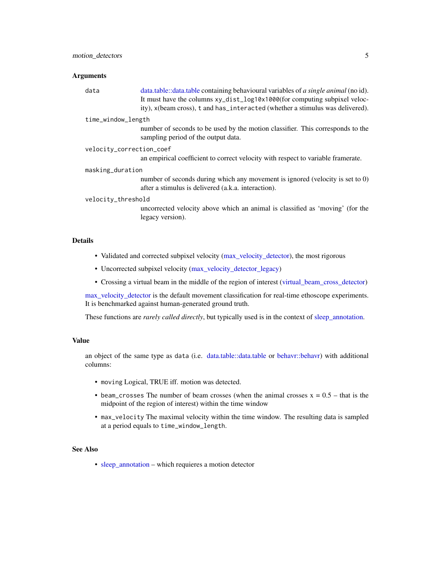#### <span id="page-4-0"></span>Arguments

| data                     | data.table::data.table containing behavioural variables of <i>a single animal</i> (no id).<br>It must have the columns xy_dist_log10x1000(for computing subpixel veloc-<br>ity), x(beam cross), t and has_interacted (whether a stimulus was delivered). |  |  |  |
|--------------------------|----------------------------------------------------------------------------------------------------------------------------------------------------------------------------------------------------------------------------------------------------------|--|--|--|
| time_window_length       |                                                                                                                                                                                                                                                          |  |  |  |
|                          | number of seconds to be used by the motion classifier. This corresponds to the<br>sampling period of the output data.                                                                                                                                    |  |  |  |
| velocity_correction_coef |                                                                                                                                                                                                                                                          |  |  |  |
|                          | an empirical coefficient to correct velocity with respect to variable framerate.                                                                                                                                                                         |  |  |  |
| masking_duration         |                                                                                                                                                                                                                                                          |  |  |  |
|                          | number of seconds during which any movement is ignored (velocity is set to 0)<br>after a stimulus is delivered (a.k.a. interaction).                                                                                                                     |  |  |  |
| velocity_threshold       |                                                                                                                                                                                                                                                          |  |  |  |
|                          | uncorrected velocity above which an animal is classified as 'moving' (for the<br>legacy version).                                                                                                                                                        |  |  |  |
|                          |                                                                                                                                                                                                                                                          |  |  |  |
| <b>Details</b>           |                                                                                                                                                                                                                                                          |  |  |  |

- Validated and corrected subpixel velocity [\(max\\_velocity\\_detector\)](#page-3-1), the most rigorous
- Uncorrected subpixel velocity [\(max\\_velocity\\_detector\\_legacy\)](#page-3-1)
- Crossing a virtual beam in the middle of the region of interest [\(virtual\\_beam\\_cross\\_detector\)](#page-3-1)

[max\\_velocity\\_detector](#page-3-1) is the default movement classification for real-time ethoscope experiments. It is benchmarked against human-generated ground truth.

These functions are *rarely called directly*, but typically used is in the context of [sleep\\_annotation.](#page-5-1)

#### Value

an object of the same type as data (i.e. [data.table::data.table](#page-0-0) or [behavr::behavr\)](#page-0-0) with additional columns:

- moving Logical, TRUE iff. motion was detected.
- beam\_crosses The number of beam crosses (when the animal crosses  $x = 0.5 -$  that is the midpoint of the region of interest) within the time window
- max\_velocity The maximal velocity within the time window. The resulting data is sampled at a period equals to time\_window\_length.

#### See Also

• [sleep\\_annotation](#page-5-1) – which requieres a motion detector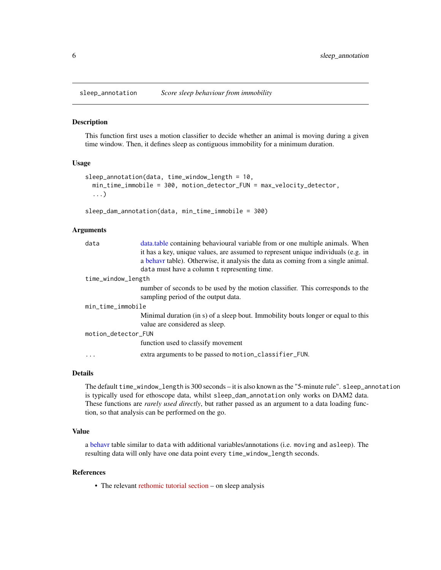<span id="page-5-1"></span><span id="page-5-0"></span>

#### Description

This function first uses a motion classifier to decide whether an animal is moving during a given time window. Then, it defines sleep as contiguous immobility for a minimum duration.

#### Usage

```
sleep_annotation(data, time_window_length = 10,
 min_time_immobile = 300, motion_detector_FUN = max_velocity_detector,
  ...)
```

```
sleep_dam_annotation(data, min_time_immobile = 300)
```
#### Arguments

| data.table containing behavioural variable from or one multiple animals. When     |  |  |  |
|-----------------------------------------------------------------------------------|--|--|--|
| it has a key, unique values, are assumed to represent unique individuals (e.g. in |  |  |  |
| a behavr table). Otherwise, it analysis the data as coming from a single animal.  |  |  |  |
| data must have a column t representing time.                                      |  |  |  |
| time_window_length                                                                |  |  |  |
| number of seconds to be used by the motion classifier. This corresponds to the    |  |  |  |
| sampling period of the output data.                                               |  |  |  |
| min_time_immobile                                                                 |  |  |  |
| Minimal duration (in s) of a sleep bout. Immobility bouts longer or equal to this |  |  |  |
| value are considered as sleep.                                                    |  |  |  |
| motion_detector_FUN                                                               |  |  |  |
| function used to classify movement                                                |  |  |  |
| extra arguments to be passed to motion_classifier_FUN.                            |  |  |  |
|                                                                                   |  |  |  |

#### Details

The default time\_window\_length is 300 seconds – it is also known as the "5-minute rule". sleep\_annotation is typically used for ethoscope data, whilst sleep\_dam\_annotation only works on DAM2 data. These functions are *rarely used directly*, but rather passed as an argument to a data loading function, so that analysis can be performed on the go.

#### Value

a [behavr](#page-0-0) table similar to data with additional variables/annotations (i.e. moving and asleep). The resulting data will only have one data point every time\_window\_length seconds.

#### References

• The relevant [rethomic tutorial section](https://rethomics.github.io/sleepr) – on sleep analysis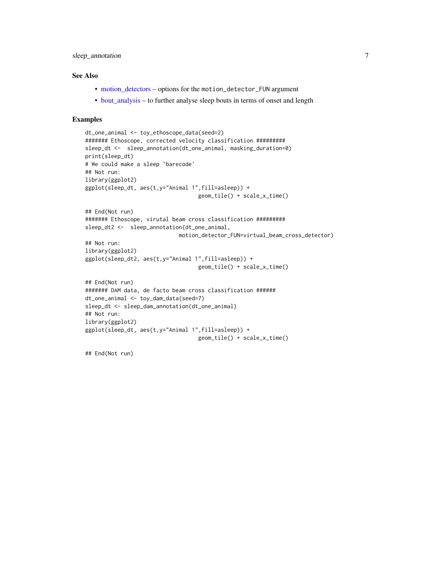#### <span id="page-6-0"></span>sleep\_annotation 7

#### See Also

- [motion\\_detectors](#page-3-2) options for the motion\_detector\_FUN argument
- [bout\\_analysis](#page-1-1) to further analyse sleep bouts in terms of onset and length

#### Examples

```
dt_one_animal <- toy_ethoscope_data(seed=2)
####### Ethoscope, corrected velocity classification #########
sleep_dt <- sleep_annotation(dt_one_animal, masking_duration=0)
print(sleep_dt)
# We could make a sleep `barecode'
## Not run:
library(ggplot2)
ggplot(sleep_dt, aes(t,y="Animal 1",fill=asleep)) +
                                   geom_tile() + scale_x_time()
## End(Not run)
####### Ethoscope, virutal beam cross classification #########
sleep_dt2 <- sleep_annotation(dt_one_animal,
                             motion_detector_FUN=virtual_beam_cross_detector)
## Not run:
library(ggplot2)
ggplot(sleep_dt2, aes(t,y="Animal 1",fill=asleep)) +
                                   geom_tile() + scale_x_time()
## End(Not run)
####### DAM data, de facto beam cross classification ######
dt_one_animal <- toy_dam_data(seed=7)
sleep_dt <- sleep_dam_annotation(dt_one_animal)
## Not run:
library(ggplot2)
ggplot(sleep_dt, aes(t,y="Animal 1",fill=asleep)) +
                                   geom_tile() + scale_x_time()
```
## End(Not run)